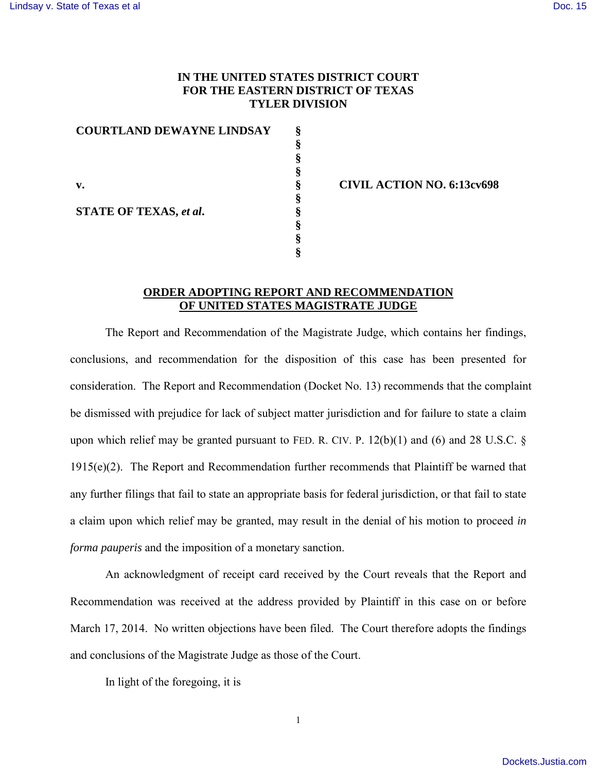## **IN THE UNITED STATES DISTRICT COURT FOR THE EASTERN DISTRICT OF TEXAS TYLER DIVISION**

| <b>COURTLAND DEWAYNE LINDSAY</b> |   |
|----------------------------------|---|
|                                  | 8 |
|                                  |   |
|                                  |   |
| v.                               | ş |
|                                  |   |
| <b>STATE OF TEXAS, et al.</b>    |   |
|                                  |   |
|                                  |   |
|                                  |   |

**§ CIVIL ACTION NO. 6:13cv698** 

## **ORDER ADOPTING REPORT AND RECOMMENDATION OF UNITED STATES MAGISTRATE JUDGE**

The Report and Recommendation of the Magistrate Judge, which contains her findings, conclusions, and recommendation for the disposition of this case has been presented for consideration. The Report and Recommendation (Docket No. 13) recommends that the complaint be dismissed with prejudice for lack of subject matter jurisdiction and for failure to state a claim upon which relief may be granted pursuant to FED. R. CIV. P.  $12(b)(1)$  and (6) and 28 U.S.C. § 1915(e)(2). The Report and Recommendation further recommends that Plaintiff be warned that any further filings that fail to state an appropriate basis for federal jurisdiction, or that fail to state a claim upon which relief may be granted, may result in the denial of his motion to proceed *in forma pauperis* and the imposition of a monetary sanction.

An acknowledgment of receipt card received by the Court reveals that the Report and Recommendation was received at the address provided by Plaintiff in this case on or before March 17, 2014. No written objections have been filed. The Court therefore adopts the findings and conclusions of the Magistrate Judge as those of the Court.

In light of the foregoing, it is